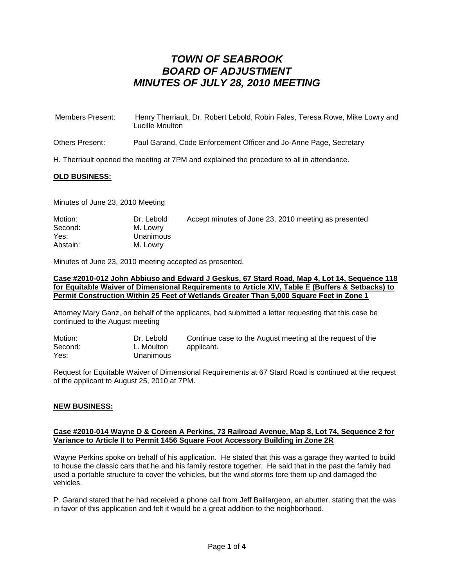| Members Present: | Henry Therriault, Dr. Robert Lebold, Robin Fales, Teresa Rowe, Mike Lowry and<br>Lucille Moulton |
|------------------|--------------------------------------------------------------------------------------------------|
| Others Present:  | Paul Garand, Code Enforcement Officer and Jo-Anne Page, Secretary                                |

H. Therriault opened the meeting at 7PM and explained the procedure to all in attendance.

### **OLD BUSINESS:**

Minutes of June 23, 2010 Meeting

| Motion:  | Dr. Lebold | Accept minutes of June 23, 2010 meeting as presented |
|----------|------------|------------------------------------------------------|
| Second:  | M. Lowry   |                                                      |
| Yes:     | Unanimous  |                                                      |
| Abstain: | M. Lowry   |                                                      |

Minutes of June 23, 2010 meeting accepted as presented.

#### **Case #2010-012 John Abbiuso and Edward J Geskus, 67 Stard Road, Map 4, Lot 14, Sequence 118 for Equitable Waiver of Dimensional Requirements to Article XIV, Table E (Buffers & Setbacks) to Permit Construction Within 25 Feet of Wetlands Greater Than 5,000 Square Feet in Zone 1**

Attorney Mary Ganz, on behalf of the applicants, had submitted a letter requesting that this case be continued to the August meeting

| Motion: | Dr. Lebold | Continue case to the August meeting at the request of the |
|---------|------------|-----------------------------------------------------------|
| Second: | L. Moulton | applicant.                                                |
| Yes:    | Unanimous  |                                                           |

Request for Equitable Waiver of Dimensional Requirements at 67 Stard Road is continued at the request of the applicant to August 25, 2010 at 7PM.

### **NEW BUSINESS:**

#### **Case #2010-014 Wayne D & Coreen A Perkins, 73 Railroad Avenue, Map 8, Lot 74, Sequence 2 for Variance to Article II to Permit 1456 Square Foot Accessory Building in Zone 2R**

Wayne Perkins spoke on behalf of his application. He stated that this was a garage they wanted to build to house the classic cars that he and his family restore together. He said that in the past the family had used a portable structure to cover the vehicles, but the wind storms tore them up and damaged the vehicles.

P. Garand stated that he had received a phone call from Jeff Baillargeon, an abutter, stating that the was in favor of this application and felt it would be a great addition to the neighborhood.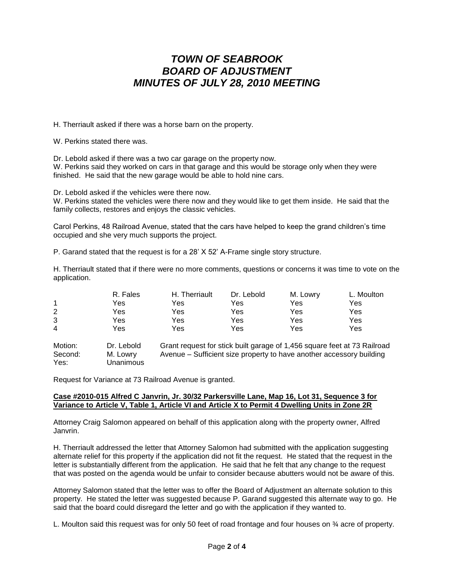H. Therriault asked if there was a horse barn on the property.

W. Perkins stated there was.

Dr. Lebold asked if there was a two car garage on the property now.

W. Perkins said they worked on cars in that garage and this would be storage only when they were finished. He said that the new garage would be able to hold nine cars.

Dr. Lebold asked if the vehicles were there now.

W. Perkins stated the vehicles were there now and they would like to get them inside. He said that the family collects, restores and enjoys the classic vehicles.

Carol Perkins, 48 Railroad Avenue, stated that the cars have helped to keep the grand children's time occupied and she very much supports the project.

P. Garand stated that the request is for a 28' X 52' A-Frame single story structure.

H. Therriault stated that if there were no more comments, questions or concerns it was time to vote on the application.

|   | R. Fales | H. Therriault | Dr. Lebold | M. Lowry | L. Moulton |
|---|----------|---------------|------------|----------|------------|
| 1 | Yes      | Yes           | Yes        | Yes      | Yes        |
| 2 | Yes      | Yes           | Yes        | Yes      | Yes        |
| 3 | Yes      | Yes           | Yes        | Yes      | Yes        |
| 4 | Yes      | Yes           | Yes        | Yes      | Yes        |
|   |          |               |            |          |            |

Motion: Dr. Lebold Grant request for stick built garage of 1,456 square feet at 73 Railroad Second: M. Lowry Avenue – Sufficient size property to have another accessory building Yes: Unanimous

Request for Variance at 73 Railroad Avenue is granted.

### **Case #2010-015 Alfred C Janvrin, Jr. 30/32 Parkersville Lane, Map 16, Lot 31, Sequence 3 for Variance to Article V, Table 1, Article VI and Article X to Permit 4 Dwelling Units in Zone 2R**

Attorney Craig Salomon appeared on behalf of this application along with the property owner, Alfred Janvrin.

H. Therriault addressed the letter that Attorney Salomon had submitted with the application suggesting alternate relief for this property if the application did not fit the request. He stated that the request in the letter is substantially different from the application. He said that he felt that any change to the request that was posted on the agenda would be unfair to consider because abutters would not be aware of this.

Attorney Salomon stated that the letter was to offer the Board of Adjustment an alternate solution to this property. He stated the letter was suggested because P. Garand suggested this alternate way to go. He said that the board could disregard the letter and go with the application if they wanted to.

L. Moulton said this request was for only 50 feet of road frontage and four houses on  $\frac{3}{4}$  acre of property.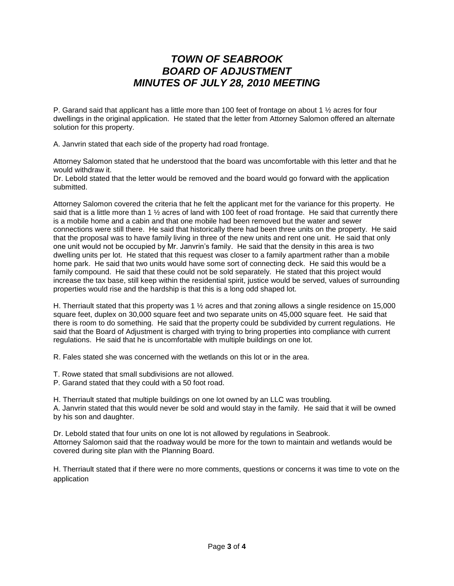P. Garand said that applicant has a little more than 100 feet of frontage on about 1 ½ acres for four dwellings in the original application. He stated that the letter from Attorney Salomon offered an alternate solution for this property.

A. Janvrin stated that each side of the property had road frontage.

Attorney Salomon stated that he understood that the board was uncomfortable with this letter and that he would withdraw it.

Dr. Lebold stated that the letter would be removed and the board would go forward with the application submitted.

Attorney Salomon covered the criteria that he felt the applicant met for the variance for this property. He said that is a little more than 1 <sup>1</sup>/<sub>2</sub> acres of land with 100 feet of road frontage. He said that currently there is a mobile home and a cabin and that one mobile had been removed but the water and sewer connections were still there. He said that historically there had been three units on the property. He said that the proposal was to have family living in three of the new units and rent one unit. He said that only one unit would not be occupied by Mr. Janvrin's family. He said that the density in this area is two dwelling units per lot. He stated that this request was closer to a family apartment rather than a mobile home park. He said that two units would have some sort of connecting deck. He said this would be a family compound. He said that these could not be sold separately. He stated that this project would increase the tax base, still keep within the residential spirit, justice would be served, values of surrounding properties would rise and the hardship is that this is a long odd shaped lot.

H. Therriault stated that this property was 1 ½ acres and that zoning allows a single residence on 15,000 square feet, duplex on 30,000 square feet and two separate units on 45,000 square feet. He said that there is room to do something. He said that the property could be subdivided by current regulations. He said that the Board of Adjustment is charged with trying to bring properties into compliance with current regulations. He said that he is uncomfortable with multiple buildings on one lot.

R. Fales stated she was concerned with the wetlands on this lot or in the area.

T. Rowe stated that small subdivisions are not allowed.

P. Garand stated that they could with a 50 foot road.

H. Therriault stated that multiple buildings on one lot owned by an LLC was troubling.

A. Janvrin stated that this would never be sold and would stay in the family. He said that it will be owned by his son and daughter.

Dr. Lebold stated that four units on one lot is not allowed by regulations in Seabrook. Attorney Salomon said that the roadway would be more for the town to maintain and wetlands would be covered during site plan with the Planning Board.

H. Therriault stated that if there were no more comments, questions or concerns it was time to vote on the application